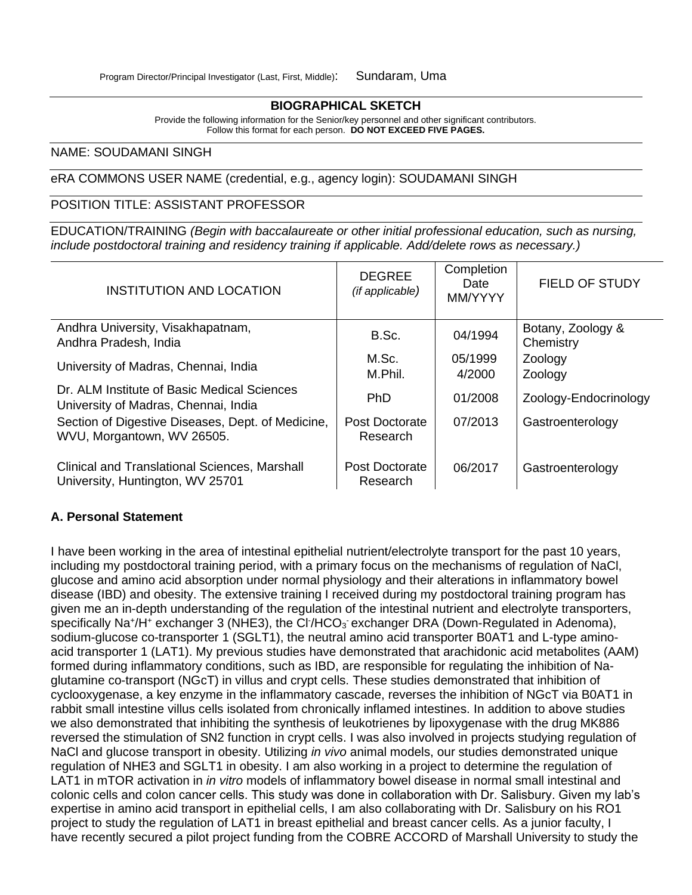#### **BIOGRAPHICAL SKETCH**

Provide the following information for the Senior/key personnel and other significant contributors. Follow this format for each person. **DO NOT EXCEED FIVE PAGES.**

#### NAME: SOUDAMANI SINGH

eRA COMMONS USER NAME (credential, e.g., agency login): SOUDAMANI SINGH

## POSITION TITLE: ASSISTANT PROFESSOR

EDUCATION/TRAINING *(Begin with baccalaureate or other initial professional education, such as nursing, include postdoctoral training and residency training if applicable. Add/delete rows as necessary.)*

| <b>INSTITUTION AND LOCATION</b>                                                          | <b>DEGREE</b><br>(if applicable) | Completion<br>Date<br>MM/YYYY | <b>FIELD OF STUDY</b>          |
|------------------------------------------------------------------------------------------|----------------------------------|-------------------------------|--------------------------------|
| Andhra University, Visakhapatnam,<br>Andhra Pradesh, India                               | B.Sc.                            | 04/1994                       | Botany, Zoology &<br>Chemistry |
| University of Madras, Chennai, India                                                     | M.Sc.<br>M.Phil.                 | 05/1999<br>4/2000             | Zoology<br>Zoology             |
| Dr. ALM Institute of Basic Medical Sciences<br>University of Madras, Chennai, India      | <b>PhD</b>                       | 01/2008                       | Zoology-Endocrinology          |
| Section of Digestive Diseases, Dept. of Medicine,<br>WVU, Morgantown, WV 26505.          | Post Doctorate<br>Research       | 07/2013                       | Gastroenterology               |
| <b>Clinical and Translational Sciences, Marshall</b><br>University, Huntington, WV 25701 | Post Doctorate<br>Research       | 06/2017                       | Gastroenterology               |

## **A. Personal Statement**

I have been working in the area of intestinal epithelial nutrient/electrolyte transport for the past 10 years, including my postdoctoral training period, with a primary focus on the mechanisms of regulation of NaCl, glucose and amino acid absorption under normal physiology and their alterations in inflammatory bowel disease (IBD) and obesity. The extensive training I received during my postdoctoral training program has given me an in-depth understanding of the regulation of the intestinal nutrient and electrolyte transporters, specifically Na<sup>+</sup>/H<sup>+</sup> exchanger 3 (NHE3), the Cl<sup>-</sup>/HCO<sub>3</sub> exchanger DRA (Down-Regulated in Adenoma), sodium-glucose co-transporter 1 (SGLT1), the neutral amino acid transporter B0AT1 and L-type aminoacid transporter 1 (LAT1). My previous studies have demonstrated that arachidonic acid metabolites (AAM) formed during inflammatory conditions, such as IBD, are responsible for regulating the inhibition of Naglutamine co-transport (NGcT) in villus and crypt cells. These studies demonstrated that inhibition of cyclooxygenase, a key enzyme in the inflammatory cascade, reverses the inhibition of NGcT via B0AT1 in rabbit small intestine villus cells isolated from chronically inflamed intestines. In addition to above studies we also demonstrated that inhibiting the synthesis of leukotrienes by lipoxygenase with the drug MK886 reversed the stimulation of SN2 function in crypt cells. I was also involved in projects studying regulation of NaCl and glucose transport in obesity. Utilizing *in vivo* animal models, our studies demonstrated unique regulation of NHE3 and SGLT1 in obesity. I am also working in a project to determine the regulation of LAT1 in mTOR activation in *in vitro* models of inflammatory bowel disease in normal small intestinal and colonic cells and colon cancer cells. This study was done in collaboration with Dr. Salisbury. Given my lab's expertise in amino acid transport in epithelial cells, I am also collaborating with Dr. Salisbury on his RO1 project to study the regulation of LAT1 in breast epithelial and breast cancer cells. As a junior faculty, I have recently secured a pilot project funding from the COBRE ACCORD of Marshall University to study the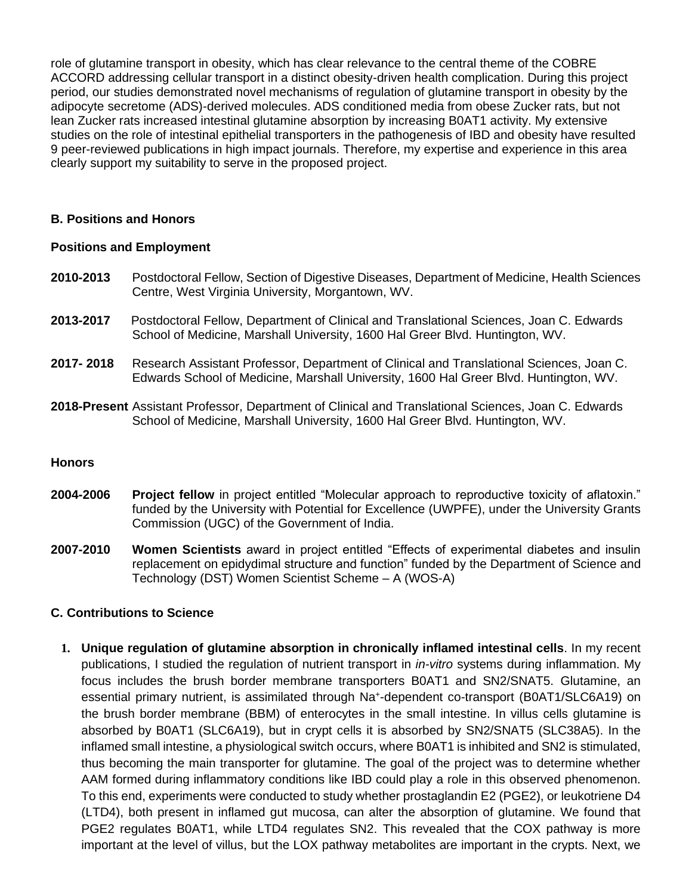role of glutamine transport in obesity, which has clear relevance to the central theme of the COBRE ACCORD addressing cellular transport in a distinct obesity-driven health complication. During this project period, our studies demonstrated novel mechanisms of regulation of glutamine transport in obesity by the adipocyte secretome (ADS)-derived molecules. ADS conditioned media from obese Zucker rats, but not lean Zucker rats increased intestinal glutamine absorption by increasing B0AT1 activity. My extensive studies on the role of intestinal epithelial transporters in the pathogenesis of IBD and obesity have resulted 9 peer-reviewed publications in high impact journals. Therefore, my expertise and experience in this area clearly support my suitability to serve in the proposed project.

## **B. Positions and Honors**

### **Positions and Employment**

- **2010-2013** Postdoctoral Fellow, Section of Digestive Diseases, Department of Medicine, Health Sciences Centre, West Virginia University, Morgantown, WV.
- **2013-2017** Postdoctoral Fellow, Department of Clinical and Translational Sciences, Joan C. Edwards School of Medicine, Marshall University, 1600 Hal Greer Blvd. Huntington, WV.
- **2017- 2018** Research Assistant Professor, Department of Clinical and Translational Sciences, Joan C. Edwards School of Medicine, Marshall University, 1600 Hal Greer Blvd. Huntington, WV.
- **2018-Present** Assistant Professor, Department of Clinical and Translational Sciences, Joan C. Edwards School of Medicine, Marshall University, 1600 Hal Greer Blvd. Huntington, WV.

### **Honors**

- **2004-2006 Project fellow** in project entitled "Molecular approach to reproductive toxicity of aflatoxin." funded by the University with Potential for Excellence (UWPFE), under the University Grants Commission (UGC) of the Government of India.
- **2007-2010 Women Scientists** award in project entitled "Effects of experimental diabetes and insulin replacement on epidydimal structure and function" funded by the Department of Science and Technology (DST) Women Scientist Scheme – A (WOS-A)

## **C. Contributions to Science**

**1. Unique regulation of glutamine absorption in chronically inflamed intestinal cells**. In my recent publications, I studied the regulation of nutrient transport in *in-vitro* systems during inflammation. My focus includes the brush border membrane transporters B0AT1 and SN2/SNAT5. Glutamine, an essential primary nutrient, is assimilated through Na<sup>+</sup>-dependent co-transport (B0AT1/SLC6A19) on the brush border membrane (BBM) of enterocytes in the small intestine. In villus cells glutamine is absorbed by B0AT1 (SLC6A19), but in crypt cells it is absorbed by SN2/SNAT5 (SLC38A5). In the inflamed small intestine, a physiological switch occurs, where B0AT1 is inhibited and SN2 is stimulated, thus becoming the main transporter for glutamine. The goal of the project was to determine whether AAM formed during inflammatory conditions like IBD could play a role in this observed phenomenon. To this end, experiments were conducted to study whether prostaglandin E2 (PGE2), or leukotriene D4 (LTD4), both present in inflamed gut mucosa, can alter the absorption of glutamine. We found that PGE2 regulates B0AT1, while LTD4 regulates SN2. This revealed that the COX pathway is more important at the level of villus, but the LOX pathway metabolites are important in the crypts. Next, we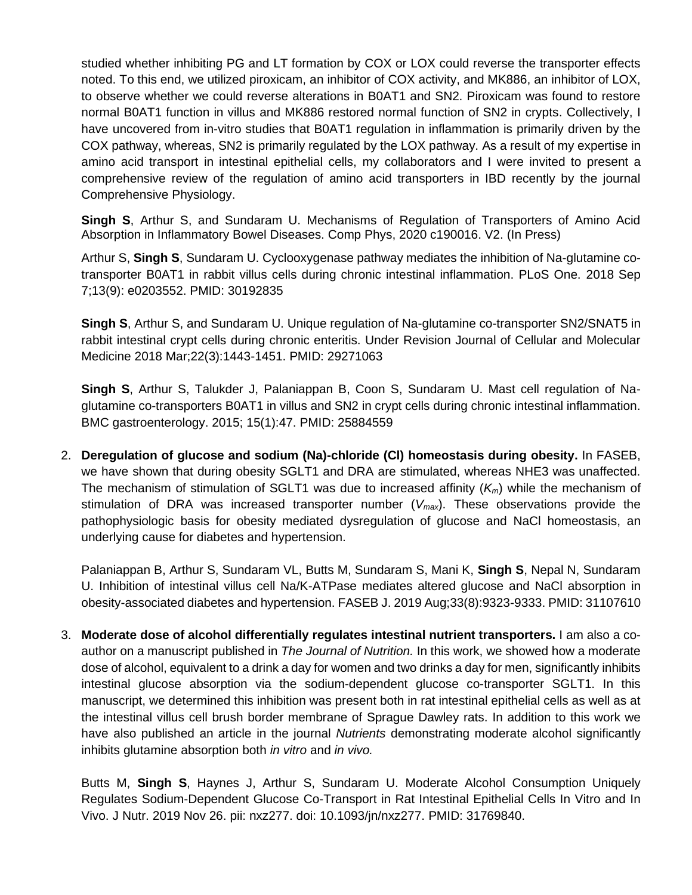studied whether inhibiting PG and LT formation by COX or LOX could reverse the transporter effects noted. To this end, we utilized piroxicam, an inhibitor of COX activity, and MK886, an inhibitor of LOX, to observe whether we could reverse alterations in B0AT1 and SN2. Piroxicam was found to restore normal B0AT1 function in villus and MK886 restored normal function of SN2 in crypts. Collectively, I have uncovered from in-vitro studies that B0AT1 regulation in inflammation is primarily driven by the COX pathway, whereas, SN2 is primarily regulated by the LOX pathway. As a result of my expertise in amino acid transport in intestinal epithelial cells, my collaborators and I were invited to present a comprehensive review of the regulation of amino acid transporters in IBD recently by the journal Comprehensive Physiology.

**Singh S**, Arthur S, and Sundaram U. Mechanisms of Regulation of Transporters of Amino Acid Absorption in Inflammatory Bowel Diseases. Comp Phys, 2020 c190016. V2. (In Press)

Arthur S, **Singh S**, Sundaram U. Cyclooxygenase pathway mediates the inhibition of Na-glutamine cotransporter B0AT1 in rabbit villus cells during chronic intestinal inflammation. PLoS One. 2018 Sep 7;13(9): e0203552. PMID: 30192835

**Singh S**, Arthur S, and Sundaram U. Unique regulation of Na-glutamine co-transporter SN2/SNAT5 in rabbit intestinal crypt cells during chronic enteritis. Under Revision Journal of Cellular and Molecular Medicine 2018 Mar;22(3):1443-1451. PMID: 29271063

**Singh S**, Arthur S, Talukder J, Palaniappan B, Coon S, Sundaram U. Mast cell regulation of Naglutamine co-transporters B0AT1 in villus and SN2 in crypt cells during chronic intestinal inflammation. BMC gastroenterology. 2015; 15(1):47. PMID: 25884559

2. **Deregulation of glucose and sodium (Na)-chloride (Cl) homeostasis during obesity.** In FASEB, we have shown that during obesity SGLT1 and DRA are stimulated, whereas NHE3 was unaffected. The mechanism of stimulation of SGLT1 was due to increased affinity (*Km*) while the mechanism of stimulation of DRA was increased transporter number (*Vmax*). These observations provide the pathophysiologic basis for obesity mediated dysregulation of glucose and NaCl homeostasis, an underlying cause for diabetes and hypertension.

Palaniappan B, Arthur S, Sundaram VL, Butts M, Sundaram S, Mani K, **Singh S**, Nepal N, Sundaram U. Inhibition of intestinal villus cell Na/K-ATPase mediates altered glucose and NaCl absorption in obesity-associated diabetes and hypertension. FASEB J. 2019 Aug;33(8):9323-9333. PMID: 31107610

3. **Moderate dose of alcohol differentially regulates intestinal nutrient transporters.** I am also a coauthor on a manuscript published in *The Journal of Nutrition.* In this work, we showed how a moderate dose of alcohol, equivalent to a drink a day for women and two drinks a day for men, significantly inhibits intestinal glucose absorption via the sodium-dependent glucose co-transporter SGLT1. In this manuscript, we determined this inhibition was present both in rat intestinal epithelial cells as well as at the intestinal villus cell brush border membrane of Sprague Dawley rats. In addition to this work we have also published an article in the journal *Nutrients* demonstrating moderate alcohol significantly inhibits glutamine absorption both *in vitro* and *in vivo.*

Butts M, **Singh S**, Haynes J, Arthur S, Sundaram U. Moderate Alcohol Consumption Uniquely Regulates Sodium-Dependent Glucose Co-Transport in Rat Intestinal Epithelial Cells In Vitro and In Vivo. J Nutr. 2019 Nov 26. pii: nxz277. doi: 10.1093/jn/nxz277. PMID: 31769840.